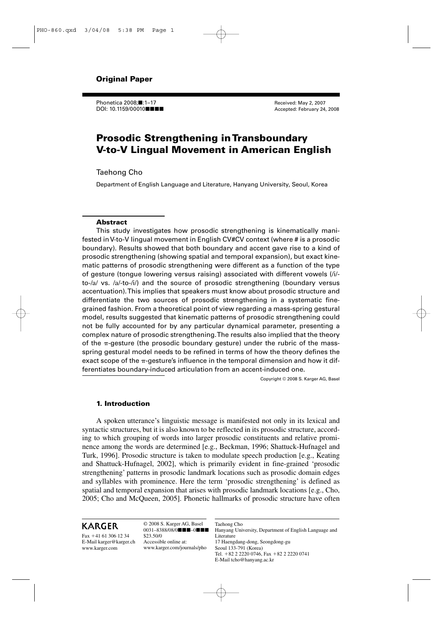# **Original Paper**

Phonetica 2008: 1:1–17 **Phonetica** 2008: 1:1–17

DOI: 10.1159/00010 **Accepted: February 24, 2008** 

# **Prosodic Strengthening in Transboundary V-to-V Lingual Movement in American English**

Taehong Cho

Department of English Language and Literature, Hanyang University, Seoul, Korea

# **Abstract**

This study investigates how prosodic strengthening is kinematically manifested in V-to-V lingual movement in English CV#CV context (where # is a prosodic boundary). Results showed that both boundary and accent gave rise to a kind of prosodic strengthening (showing spatial and temporal expansion), but exact kinematic patterns of prosodic strengthening were different as a function of the type of gesture (tongue lowering versus raising) associated with different vowels (/i/ to-/a/ vs. /a/-to-/i/) and the source of prosodic strengthening (boundary versus accentuation). This implies that speakers must know about prosodic structure and differentiate the two sources of prosodic strengthening in a systematic finegrained fashion. From a theoretical point of view regarding a mass-spring gestural model, results suggested that kinematic patterns of prosodic strengthening could not be fully accounted for by any particular dynamical parameter, presenting a complex nature of prosodic strengthening. The results also implied that the theory of the  $\pi$ -gesture (the prosodic boundary gesture) under the rubric of the massspring gestural model needs to be refined in terms of how the theory defines the exact scope of the  $\pi$ -gesture's influence in the temporal dimension and how it differentiates boundary-induced articulation from an accent-induced one.

Copyright © 2008 S. Karger AG, Basel

# **1. Introduction**

A spoken utterance's linguistic message is manifested not only in its lexical and syntactic structures, but it is also known to be reflected in its prosodic structure, according to which grouping of words into larger prosodic constituents and relative prominence among the words are determined [e.g., Beckman, 1996; Shattuck-Hufnagel and Turk, 1996]. Prosodic structure is taken to modulate speech production [e.g., Keating and Shattuck-Hufnagel, 2002], which is primarily evident in fine-grained 'prosodic strengthening' patterns in prosodic landmark locations such as prosodic domain edges and syllables with prominence. Here the term 'prosodic strengthening' is defined as spatial and temporal expansion that arises with prosodic landmark locations [e.g., Cho, 2005; Cho and McQueen, 2005]. Phonetic hallmarks of prosodic structure have often

# **KARGER**

 $F_{2X}$  +41 61 306 12 34 E-Mail karger@karger.ch www.karger.com

© 2008 S. Karger AG, Basel  $0031 - 8388/08/0$ \$23.50/0 Accessible online at: www.karger.com/journals/pho

Taehong Cho Hanyang University, Department of English Language and Literature 17 Haengdang-dong, Seongdong-gu Seoul 133-791 (Korea) Tel. +82 2 2220 0746, Fax +82 2 2220 0741 E-Mail tcho@hanyang.ac.kr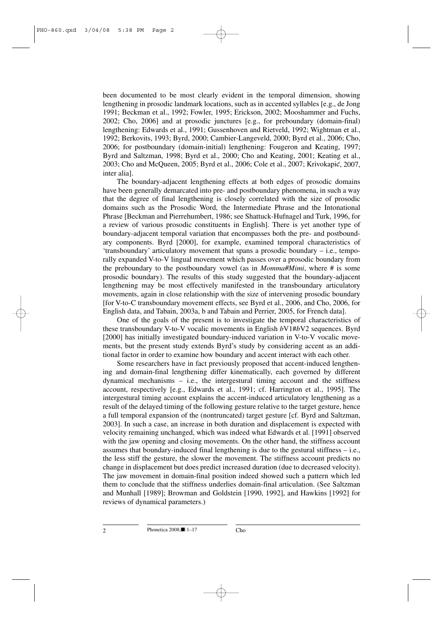been documented to be most clearly evident in the temporal dimension, showing lengthening in prosodic landmark locations, such as in accented syllables [e.g., de Jong 1991; Beckman et al., 1992; Fowler, 1995; Erickson, 2002; Mooshammer and Fuchs, 2002; Cho, 2006] and at prosodic junctures [e.g., for preboundary (domain-final) lengthening: Edwards et al., 1991; Gussenhoven and Rietveld, 1992; Wightman et al., 1992; Berkovits, 1993; Byrd, 2000; Cambier-Langeveld, 2000; Byrd et al., 2006; Cho, 2006; for postboundary (domain-initial) lengthening: Fougeron and Keating, 1997; Byrd and Saltzman, 1998; Byrd et al., 2000; Cho and Keating, 2001; Keating et al., 2003; Cho and McQueen, 2005; Byrd et al., 2006; Cole et al., 2007; Krivokapic´, 2007, inter alia].

The boundary-adjacent lengthening effects at both edges of prosodic domains have been generally demarcated into pre- and postboundary phenomena, in such a way that the degree of final lengthening is closely correlated with the size of prosodic domains such as the Prosodic Word, the Intermediate Phrase and the Intonational Phrase [Beckman and Pierrehumbert, 1986; see Shattuck-Hufnagel and Turk, 1996, for a review of various prosodic constituents in English]. There is yet another type of boundary-adjacent temporal variation that encompasses both the pre- and postboundary components. Byrd [2000], for example, examined temporal characteristics of 'transboundary' articulatory movement that spans a prosodic boundary – i.e., temporally expanded V-to-V lingual movement which passes over a prosodic boundary from the preboundary to the postboundary vowel (as in *Momma#Mimi*, where # is some prosodic boundary). The results of this study suggested that the boundary-adjacent lengthening may be most effectively manifested in the transboundary articulatory movements, again in close relationship with the size of intervening prosodic boundary [for V-to-C transboundary movement effects, see Byrd et al., 2006, and Cho, 2006, for English data, and Tabain, 2003a, b and Tabain and Perrier, 2005, for French data].

One of the goals of the present is to investigate the temporal characteristics of these transboundary V-to-V vocalic movements in English *b*V1#*b*V2 sequences. Byrd [2000] has initially investigated boundary-induced variation in V-to-V vocalic movements, but the present study extends Byrd's study by considering accent as an additional factor in order to examine how boundary and accent interact with each other.

Some researchers have in fact previously proposed that accent-induced lengthening and domain-final lengthening differ kinematically, each governed by different dynamical mechanisms – i.e., the intergestural timing account and the stiffness account, respectively [e.g., Edwards et al., 1991; cf. Harrington et al., 1995]. The intergestural timing account explains the accent-induced articulatory lengthening as a result of the delayed timing of the following gesture relative to the target gesture, hence a full temporal expansion of the (nontruncated) target gesture [cf. Byrd and Saltzman, 2003]. In such a case, an increase in both duration and displacement is expected with velocity remaining unchanged, which was indeed what Edwards et al. [1991] observed with the jaw opening and closing movements. On the other hand, the stiffness account assumes that boundary-induced final lengthening is due to the gestural stiffness – i.e., the less stiff the gesture, the slower the movement. The stiffness account predicts no change in displacement but does predict increased duration (due to decreased velocity). The jaw movement in domain-final position indeed showed such a pattern which led them to conclude that the stiffness underlies domain-final articulation. (See Saltzman and Munhall [1989]; Browman and Goldstein [1990, 1992], and Hawkins [1992] for reviews of dynamical parameters.)

2 Phonetica  $2008;1-17$  Cho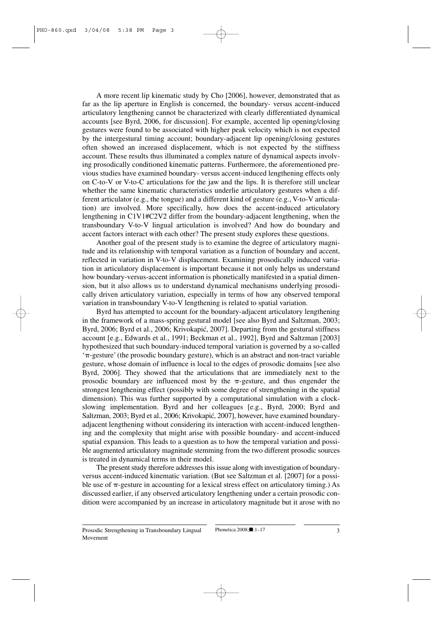A more recent lip kinematic study by Cho [2006], however, demonstrated that as far as the lip aperture in English is concerned, the boundary- versus accent-induced articulatory lengthening cannot be characterized with clearly differentiated dynamical accounts [see Byrd, 2006, for discussion]. For example, accented lip opening/closing gestures were found to be associated with higher peak velocity which is not expected by the intergestural timing account; boundary-adjacent lip opening/closing gestures often showed an increased displacement, which is not expected by the stiffness account. These results thus illuminated a complex nature of dynamical aspects involving prosodically conditioned kinematic patterns. Furthermore, the aforementioned previous studies have examined boundary- versus accent-induced lengthening effects only on C-to-V or V-to-C articulations for the jaw and the lips. It is therefore still unclear whether the same kinematic characteristics underlie articulatory gestures when a different articulator (e.g., the tongue) and a different kind of gesture (e.g., V-to-V articulation) are involved. More specifically, how does the accent-induced articulatory lengthening in C1V1#C2V2 differ from the boundary-adjacent lengthening, when the transboundary V-to-V lingual articulation is involved? And how do boundary and accent factors interact with each other? The present study explores these questions.

Another goal of the present study is to examine the degree of articulatory magnitude and its relationship with temporal variation as a function of boundary and accent, reflected in variation in V-to-V displacement. Examining prosodically induced variation in articulatory displacement is important because it not only helps us understand how boundary-versus-accent information is phonetically manifested in a spatial dimension, but it also allows us to understand dynamical mechanisms underlying prosodically driven articulatory variation, especially in terms of how any observed temporal variation in transboundary V-to-V lengthening is related to spatial variation.

Byrd has attempted to account for the boundary-adjacent articulatory lengthening in the framework of a mass-spring gestural model [see also Byrd and Saltzman, 2003; Byrd, 2006; Byrd et al., 2006; Krivokapić, 2007]. Departing from the gestural stiffness account [e.g., Edwards et al., 1991; Beckman et al., 1992], Byrd and Saltzman [2003] hypothesized that such boundary-induced temporal variation is governed by a so-called ' $\pi$ -gesture' (the prosodic boundary gesture), which is an abstract and non-tract variable gesture, whose domain of influence is local to the edges of prosodic domains [see also Byrd, 2006]. They showed that the articulations that are immediately next to the prosodic boundary are influenced most by the  $\pi$ -gesture, and thus engender the strongest lengthening effect (possibly with some degree of strengthening in the spatial dimension). This was further supported by a computational simulation with a clockslowing implementation. Byrd and her colleagues [e.g., Byrd, 2000; Byrd and Saltzman, 2003; Byrd et al., 2006; Krivokapić, 2007], however, have examined boundaryadjacent lengthening without considering its interaction with accent-induced lengthening and the complexity that might arise with possible boundary- and accent-induced spatial expansion. This leads to a question as to how the temporal variation and possible augmented articulatory magnitude stemming from the two different prosodic sources is treated in dynamical terms in their model.

The present study therefore addresses this issue along with investigation of boundaryversus accent-induced kinematic variation. (But see Saltzman et al. [2007] for a possible use of  $\pi$ -gesture in accounting for a lexical stress effect on articulatory timing.) As discussed earlier, if any observed articulatory lengthening under a certain prosodic condition were accompanied by an increase in articulatory magnitude but it arose with no

Prosodic Strengthening in Transboundary Lingual Phonetica 2008; $\blacksquare$ :1–17 3 Movement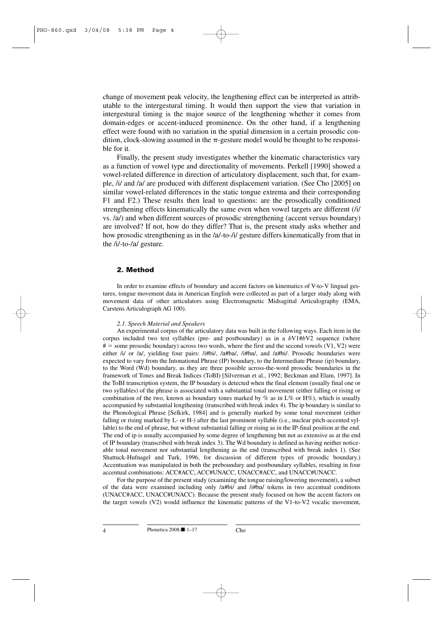change of movement peak velocity, the lengthening effect can be interpreted as attributable to the intergestural timing. It would then support the view that variation in intergestural timing is the major source of the lengthening whether it comes from domain-edges or accent-induced prominence. On the other hand, if a lengthening effect were found with no variation in the spatial dimension in a certain prosodic condition, clock-slowing assumed in the  $\pi$ -gesture model would be thought to be responsible for it.

Finally, the present study investigates whether the kinematic characteristics vary as a function of vowel type and directionality of movements. Perkell [1990] showed a vowel-related difference in direction of articulatory displacement, such that, for example, /i/ and /a/ are produced with different displacement variation. (See Cho [2005] on similar vowel-related differences in the static tongue extrema and their corresponding F1 and F2.) These results then lead to questions: are the prosodically conditioned strengthening effects kinematically the same even when vowel targets are different (/i/ vs. /a/) and when different sources of prosodic strengthening (accent versus boundary) are involved? If not, how do they differ? That is, the present study asks whether and how prosodic strengthening as in the /a/-to-/i/ gesture differs kinematically from that in the /i/-to-/a/ gesture.

# **2. Method**

In order to examine effects of boundary and accent factors on kinematics of V-to-V lingual gestures, tongue movement data in American English were collected as part of a larger study along with movement data of other articulators using Electromagnetic Midsagittal Articulography (EMA, Carstens Articulograph AG 100).

#### *2.1. Speech Material and Speakers*

An experimental corpus of the articulatory data was built in the following ways. Each item in the corpus included two test syllables (pre- and postboundary) as in a *b*V1#*b*V2 sequence (where  $# =$  some prosodic boundary) across two words, where the first and the second vowels (V1, V2) were either  $\pi/2$  or  $\pi/2$ , yielding four pairs:  $\pi/2$  /iiiba/,  $\pi/2$  /iiiba/, and  $\pi/2$  and  $\pi/2$  . Prosodic boundaries were expected to vary from the Intonational Phrase (IP) boundary, to the Intermediate Phrase (ip) boundary, to the Word (Wd) boundary, as they are three possible across-the-word prosodic boundaries in the framework of Tones and Break Indices (ToBI) [Silverman et al., 1992; Beckman and Elam, 1997]. In the ToBI transcription system, the IP boundary is detected when the final element (usually final one or two syllables) of the phrase is associated with a substantial tonal movement (either falling or rising or combination of the two, known as boundary tones marked by % as in  $L$ % or  $H$ %), which is usually accompanied by substantial lengthening (transcribed with break index 4). The ip boundary is similar to the Phonological Phrase [Selkirk, 1984] and is generally marked by some tonal movement (either falling or rising marked by L- or H-) after the last prominent syllable (i.e., nuclear pitch-accented syllable) to the end of phrase, but without substantial falling or rising as in the IP-final position at the end. The end of ip is usually accompanied by some degree of lengthening but not as extensive as at the end of IP boundary (transcribed with break index 3). The Wd boundary is defined as having neither noticeable tonal movement nor substantial lengthening as the end (transcribed with break index 1). (See Shattuck-Hufnagel and Turk, 1996, for discussion of different types of prosodic boundary.) Accentuation was manipulated in both the preboundary and postboundary syllables, resulting in four accentual combinations: ACC#ACC, ACC#UNACC, UNACC#ACC, and UNACC#UNACC.

For the purpose of the present study (examining the tongue raising/lowering movement), a subset of the data were examined including only /a#bi/ and /i#ba/ tokens in two accentual conditions (UNACC#ACC, UNACC#UNACC). Because the present study focused on how the accent factors on the target vowels (V2) would influence the kinematic patterns of the V1-to-V2 vocalic movement,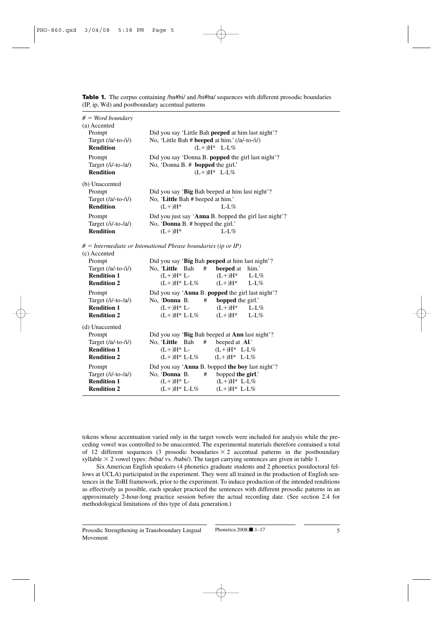| $#$ = Word boundary     |                                                                 |  |  |  |
|-------------------------|-----------------------------------------------------------------|--|--|--|
| (a) Accented            |                                                                 |  |  |  |
| Prompt                  | Did you say 'Little Bah peeped at him last night'?              |  |  |  |
| Target $( a/- to- i )$  | No, 'Little Bah # beeped at him.' (/a/-to-/i/)                  |  |  |  |
| <b>Rendition</b>        | $(L+)H^*$ L-L%                                                  |  |  |  |
| Prompt                  | Did you say 'Donna B. popped the girl last night'?              |  |  |  |
| Target (/i/-to-/a/)     | No, 'Donna B. # bopped the girl.'                               |  |  |  |
| <b>Rendition</b>        | $(L+)H^* L-L\%$                                                 |  |  |  |
| (b) Unaccented          |                                                                 |  |  |  |
| Prompt                  | Did you say 'Big Bah beeped at him last night'?                 |  |  |  |
| Target (/a/-to-/i/)     | No, 'Little Bah # beeped at him.'                               |  |  |  |
| <b>Rendition</b>        | $(L+)H^*$<br>$L-L\%$                                            |  |  |  |
| Prompt                  | Did you just say 'Anna B. bopped the girl last night'?          |  |  |  |
| Target (/i/-to-/a/)     | No, 'Donna B. # bopped the girl.'                               |  |  |  |
| <b>Rendition</b>        | $(L+)H^*$<br>$L-L%$                                             |  |  |  |
|                         | $#$ = Intermediate or Intonational Phrase boundaries (ip or IP) |  |  |  |
| (c) Accented            |                                                                 |  |  |  |
| Prompt                  | Did you say 'Big Bah peeped at him last night'?                 |  |  |  |
| Target $( a/- to -/i )$ | No, 'Little Bah<br># <b>beeped</b> at<br>him.'                  |  |  |  |
| <b>Rendition 1</b>      | $(L+)H^*$<br>$(L+)H^* L$<br>$L-L%$                              |  |  |  |
| <b>Rendition 2</b>      | $(L+)H^* L-L\%$<br>$(L+)H^*$<br>$L-L%$                          |  |  |  |
| Prompt                  | Did you say 'Anna B. popped the girl last night'?               |  |  |  |
| Target $(i/-10-ia/$     | bopped the girl.'<br>No, 'Donna B.<br>#                         |  |  |  |
| <b>Rendition 1</b>      | $(L+)H^* L$<br>$(L+)H^*$<br>$L-L%$                              |  |  |  |
| <b>Rendition 2</b>      | $(L+)H^* L-L\%$<br>$(L+)H^*$<br>$L-L%$                          |  |  |  |
| (d) Unaccented          |                                                                 |  |  |  |
| Prompt                  | Did you say 'Big Bah beeped at Ann last night'?                 |  |  |  |
| Target $( a/- to -/i )$ | # beeped at Al.'<br>No. Little Bah                              |  |  |  |
| <b>Rendition 1</b>      | $(L+)H^*L$<br>$(L+)H^* L-L\%$                                   |  |  |  |
| <b>Rendition 2</b>      | $(L+)H^* L-L\%$<br>$(L+)H^* L-L\%$                              |  |  |  |
| Prompt                  | Did you say 'Anna B. bopped the boy last night'?                |  |  |  |
| Target $(i/-10-/a)$     | No. Donna B.<br>bopped the girl.'<br>#                          |  |  |  |
| <b>Rendition 1</b>      | $(L+)H^*L$<br>$(L+)H^* L-L\%$                                   |  |  |  |
| <b>Rendition 2</b>      | $(L+)H^*$ L-L%<br>$(L+)H^* L-L\%$                               |  |  |  |

**Table 1.** The corpus containing /ba#bi/ and /bi#ba/ sequences with different prosodic boundaries (IP, ip, Wd) and postboundary accentual patterns

tokens whose accentuation varied only in the target vowels were included for analysis while the preceding vowel was controlled to be unaccented. The experimental materials therefore contained a total of 12 different sequences (3 prosodic boundaries  $\times$  2 accentual patterns in the postboundary syllable  $\times$  2 vowel types: /biba/ vs. /babi/). The target carrying sentences are given in table 1.

Six American English speakers (4 phonetics graduate students and 2 phonetics postdoctoral fellows at UCLA) participated in the experiment. They were all trained in the production of English sentences in the ToBI framework, prior to the experiment. To induce production of the intended renditions as effectively as possible, each speaker practiced the sentences with different prosodic patterns in an approximately 2-hour-long practice session before the actual recording date. (See section 2.4 for methodological limitations of this type of data generation.)

Prosodic Strengthening in Transboundary Lingual Phonetica 2008; 1:1-17 5 Movement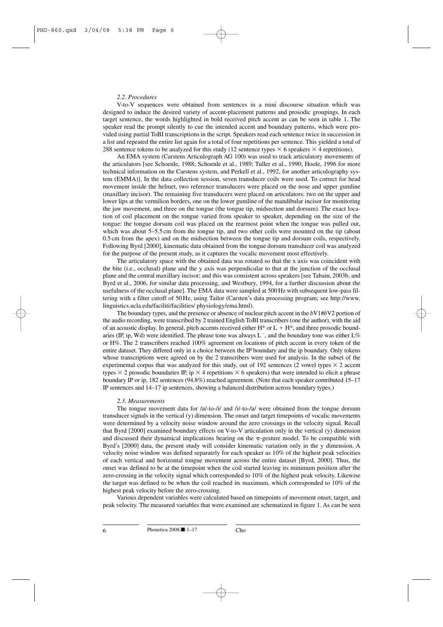### *2.2. Procedures*

V-to-V sequences were obtained from sentences in a mini discourse situation which was designed to induce the desired variety of accent-placement patterns and prosodic groupings. In each target sentence, the words highlighted in bold received pitch accent as can be seen in table 1. The speaker read the prompt silently to cue the intended accent and boundary patterns, which were provided using partial ToBI transcriptions in the script. Speakers read each sentence twice in succession in a list and repeated the entire list again for a total of four repetitions per sentence. This yielded a total of 288 sentence tokens to be analyzed for this study (12 sentence types  $\times$  6 speakers  $\times$  4 repetitions).

An EMA system (Carstens Articulograph AG 100) was used to track articulatory movements of the articulators [see Schoenle, 1988; Schoenle et al., 1989; Tuller et al., 1990; Hoole, 1996 for more technical information on the Carstens system, and Perkell et al., 1992, for another articulography system (EMMA)]. In the data collection session, seven transducer coils were used. To correct for head movement inside the helmet, two reference transducers were placed on the nose and upper gumline (maxillary incisor). The remaining five transducers were placed on articulators: two on the upper and lower lips at the vermilion borders, one on the lower gumline of the mandibular incisor for monitoring the jaw movement, and three on the tongue (the tongue tip, midsection and dorsum). The exact location of coil placement on the tongue varied from speaker to speaker, depending on the size of the tongue: the tongue dorsum coil was placed on the rearmost point when the tongue was pulled out, which was about 5–5.5 cm from the tongue tip, and two other coils were mounted on the tip (about 0.5 cm from the apex) and on the midsection between the tongue tip and dorsum coils, respectively. Following Byrd [2000], kinematic data obtained from the tongue dorsum transducer coil was analyzed for the purpose of the present study, as it captures the vocalic movement most effectively.

The articulatory space with the obtained data was rotated so that the x axis was coincident with the bite (i.e., occlusal) plane and the y axis was perpendicular to that at the junction of the occlusal plane and the central maxillary incisor; and this was consistent across speakers [see Tabain, 2003b, and Byrd et al., 2006, for similar data processing, and Westbury, 1994, for a further discussion about the usefulness of the occlusal plane]. The EMA data were sampled at 500 Hz with subsequent low-pass filtering with a filter cutoff of 50 Hz, using Tailor (Carsten's data processing program; see http://www. linguistics.ucla.edu/faciliti/facilities/ physiology/ema.html).

The boundary types, and the presence or absence of nuclear pitch accent in the *b*V1#*b*V2 portion of the audio recording, were transcribed by 2 trained English ToBI transcribers (one the author), with the aid of an acoustic display. In general, pitch accents received either  $H^*$  or  $L + H^*$ , and three prosodic boundaries (IP, ip, Wd) were identified. The phrase tone was always  $L^-$ , and the boundary tone was either  $L\%$ or H%. The 2 transcribers reached 100% agreement on locations of pitch accent in every token of the entire dataset. They differed only in a choice between the IP boundary and the ip boundary. Only tokens whose transcriptions were agreed on by the 2 transcribers were used for analysis. In the subset of the experimental corpus that was analyzed for this study, out of 192 sentences (2 vowel types  $\times$  2 accent types  $\times$  2 prosodic boundaries IP, ip  $\times$  4 repetitions  $\times$  6 speakers) that were intended to elicit a phrase boundary IP or ip, 182 sentences (94.8%) reached agreement. (Note that each speaker contributed 15–17 IP sentences and 14–17 ip sentences, showing a balanced distribution across boundary types.)

### *2.3. Measurements*

The tongue movement data for /a/-to-/i/ and /i/-to-/a/ were obtained from the tongue dorsum transducer signals in the vertical (y) dimension. The onset and target timepoints of vocalic movements were determined by a velocity noise window around the zero crossings in the velocity signal. Recall that Byrd [2000] examined boundary effects on V-to-V articulation only in the vertical (y) dimension and discussed their dynamical implications bearing on the  $\pi$ -gesture model. To be compatible with Byrd's [2000] data, the present study will consider kinematic variation only in the y dimension. A velocity noise window was defined separately for each speaker as 10% of the highest peak velocities of each vertical and horizontal tongue movement across the entire dataset [Byrd, 2000]. Thus, the onset was defined to be at the timepoint when the coil started leaving its minimum position after the zero-crossing in the velocity signal which corresponded to 10% of the highest peak velocity. Likewise the target was defined to be when the coil reached its maximum, which corresponded to 10% of the highest peak velocity before the zero-crossing.

Various dependent variables were calculated based on timepoints of movement onset, target, and peak velocity. The measured variables that were examined are schematized in figure 1. As can be seen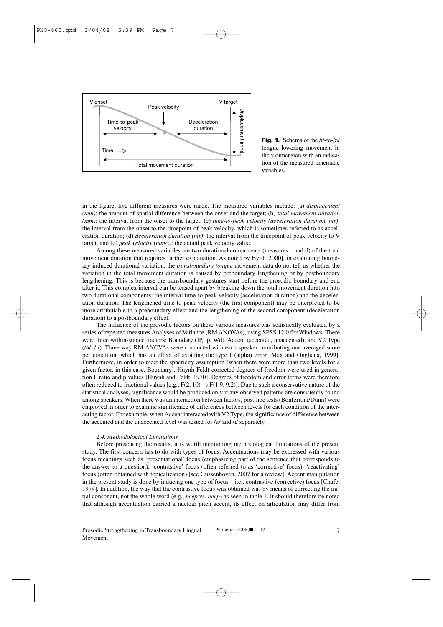

**Fig. 1.** Schema of the /i/-to-/a/ tongue lowering movement in the y dimension with an indication of the measured kinematic variables.

in the figure, five different measures were made. The measured variables include: (a) *displacement (mm)*: the amount of spatial difference between the onset and the target; (b) *total movement duration (mm)*: the interval from the onset to the target; (c) *time-to-peak velocity (acceleration duration, ms)*: the interval from the onset to the timepoint of peak velocity, which is sometimes referred to as acceleration duration; (d) *deceleration duration (ms)*: the interval from the timepoint of peak velocity to V target, and (e) *peak velocity (mm/s)*: the actual peak velocity value.

Among these measured variables are two durational components (measures c and d) of the total movement duration that requires further explanation. As noted by Byrd [2000], in examining boundary-induced durational variation, the *transboundary tongue* movement data do not tell us whether the variation in the total movement duration is caused by preboundary lengthening or by postboundary lengthening. This is because the transboundary gestures start before the prosodic boundary and end after it. This complex interval can be teased apart by breaking down the total movement duration into two durational components: the interval time-to-peak velocity (acceleration duration) and the deceleration duration. The lengthened time-to-peak velocity (the first component) may be interpreted to be more attributable to a preboundary effect and the lengthening of the second component (deceleration duration) to a postboundary effect.

The influence of the prosodic factors on these various measures was statistically evaluated by a series of repeated measures Analyses of Variance (RM ANOVAs), using SPSS 12.0 for Windows. There were three within-subject factors: Boundary (IP, ip, Wd), Accent (accented, unaccented), and V2 Type (/a/, /i/). Three-way RM ANOVAs were conducted with each speaker contributing one averaged score per condition, which has an effect of avoiding the type I (alpha) error [Max and Onghena, 1999]. Furthermore, in order to meet the sphericity assumption (when there were more than two levels for a given factor, in this case, Boundary), Huynh-Feldt-corrected degrees of freedom were used in generation F ratio and p values [Huynh and Feldt, 1970]. Degrees of freedom and error terms were therefore often reduced to fractional values [e.g.,  $F(2, 10) \rightarrow F(1.9, 9.2)$ ]. Due to such a conservative nature of the statistical analyses, significance would be produced only if any observed patterns are consistently found among speakers. When there was an interaction between factors, post-hoc tests (Bonferroni/Dunn) were employed in order to examine significance of differences between levels for each condition of the interacting factor. For example, when Accent interacted with V2 Type, the significance of difference between the accented and the unaccented level was tested for /a/ and /i/ separately.

### *2.4. Methodological Limitations*

Before presenting the results, it is worth mentioning methodological limitations of the present study. The first concern has to do with types of focus. Accentuations may be expressed with various focus meanings such as 'presentational' focus (emphasizing part of the sentence that corresponds to the answer to a question), 'contrastive' focus (often referred to as 'corrective' focus), 'reactivating' focus (often obtained with topicalization) [see Gussenhoven, 2007 for a review]. Accent manipulation in the present study is done by inducing one type of focus  $-$  i.e., contrastive (corrective) focus [Chafe, 1974]. In addition, the way that the contrastive focus was obtained was by means of correcting the initial consonant, not the whole word (e.g., *peep* vs. *beep*) as seen in table 1. It should therefore be noted that although accentuation carried a nuclear pitch accent, its effect on articulation may differ from

Prosodic Strengthening in Transboundary Lingual Phonetica 2008; $\blacksquare$ :1–17 7 Movement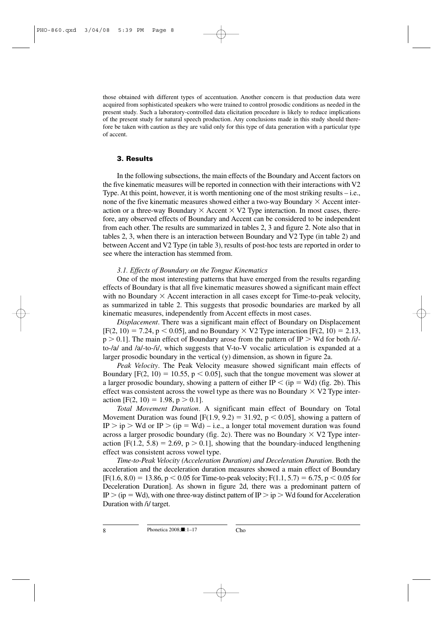those obtained with different types of accentuation. Another concern is that production data were acquired from sophisticated speakers who were trained to control prosodic conditions as needed in the present study. Such a laboratory-controlled data elicitation procedure is likely to reduce implications of the present study for natural speech production. Any conclusions made in this study should therefore be taken with caution as they are valid only for this type of data generation with a particular type of accent.

# **3. Results**

In the following subsections, the main effects of the Boundary and Accent factors on the five kinematic measures will be reported in connection with their interactions with V2 Type. At this point, however, it is worth mentioning one of the most striking results – i.e., none of the five kinematic measures showed either a two-way Boundary  $\times$  Accent interaction or a three-way Boundary  $\times$  Accent  $\times$  V2 Type interaction. In most cases, therefore, any observed effects of Boundary and Accent can be considered to be independent from each other. The results are summarized in tables 2, 3 and figure 2. Note also that in tables 2, 3, when there is an interaction between Boundary and V2 Type (in table 2) and between Accent and V2 Type (in table 3), results of post-hoc tests are reported in order to see where the interaction has stemmed from.

# *3.1. Effects of Boundary on the Tongue Kinematics*

One of the most interesting patterns that have emerged from the results regarding effects of Boundary is that all five kinematic measures showed a significant main effect with no Boundary  $\times$  Accent interaction in all cases except for Time-to-peak velocity, as summarized in table 2. This suggests that prosodic boundaries are marked by all kinematic measures, independently from Accent effects in most cases.

*Displacement*. There was a significant main effect of Boundary on Displacement  $[F(2, 10) = 7.24, p < 0.05]$ , and no Boundary  $\times$  V2 Type interaction  $[F(2, 10) = 2.13]$ ,  $p > 0.1$ . The main effect of Boundary arose from the pattern of IP  $> Wd$  for both /i/to-/a/ and /a/-to-/i/, which suggests that V-to-V vocalic articulation is expanded at a larger prosodic boundary in the vertical (y) dimension, as shown in figure 2a.

*Peak Velocity*. The Peak Velocity measure showed significant main effects of Boundary  $[F(2, 10) = 10.55, p < 0.05]$ , such that the tongue movement was slower at a larger prosodic boundary, showing a pattern of either IP  $<$  (ip = Wd) (fig. 2b). This effect was consistent across the vowel type as there was no Boundary  $\times$  V2 Type interaction [F(2, 10) = 1.98,  $p > 0.1$ ].

*Total Movement Duration*. A significant main effect of Boundary on Total Movement Duration was found  $[F(1.9, 9.2) = 31.92, p < 0.05]$ , showing a pattern of IP  $>$  ip  $>$  Wd or IP  $>$  (ip = Wd) – i.e., a longer total movement duration was found across a larger prosodic boundary (fig. 2c). There was no Boundary  $\times$  V2 Type interaction [F(1.2, 5.8) = 2.69,  $p > 0.1$ ], showing that the boundary-induced lengthening effect was consistent across vowel type.

*Time-to-Peak Velocity (Acceleration Duration) and Deceleration Duration*. Both the acceleration and the deceleration duration measures showed a main effect of Boundary  $[F(1.6, 8.0) = 13.86, p < 0.05$  for Time-to-peak velocity;  $F(1.1, 5.7) = 6.75, p < 0.05$  for Deceleration Duration]. As shown in figure 2d, there was a predominant pattern of IP  $>$  (ip = Wd), with one three-way distinct pattern of IP  $>$  ip  $>$  Wd found for Acceleration Duration with /i/ target.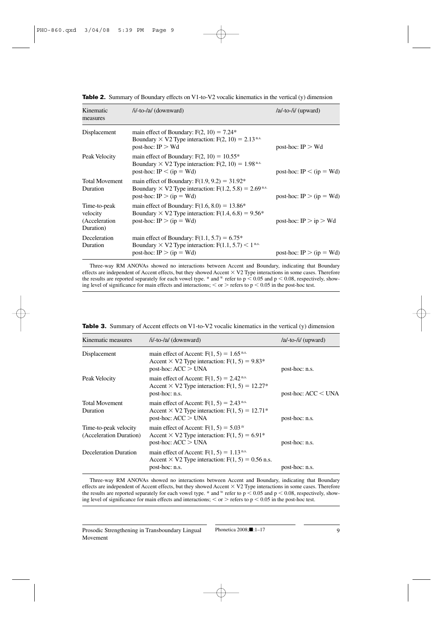| Kinematic<br>measures                                  | $/i$ -to- $\frac{a}{(downward)}$                                                                                                                | $/a$ -to- $/i$ (upward)      |
|--------------------------------------------------------|-------------------------------------------------------------------------------------------------------------------------------------------------|------------------------------|
| Displacement                                           | main effect of Boundary: $F(2, 10) = 7.24*$<br>Boundary $\times$ V2 Type interaction: F(2, 10) = 2.13 n.s.<br>post-hoc: $IP > Wd$               | post-hoc: $IP > Wd$          |
| Peak Velocity                                          | main effect of Boundary: $F(2, 10) = 10.55*$<br>Boundary $\times$ V2 Type interaction: F(2, 10) = 1.98 n.s.<br>post-hoc: $IP < (ip = Wd)$       | post-hoc: IP $\lt$ (ip = Wd) |
| <b>Total Movement</b><br>Duration                      | main effect of Boundary: $F(1.9, 9.2) = 31.92*$<br>Boundary $\times$ V2 Type interaction: F(1.2, 5.8) = 2.69 n.s.<br>post-hoc: $IP > (ip = Wd)$ | post-hoc: $IP > (ip = Wd)$   |
| Time-to-peak<br>velocity<br>(Acceleration<br>Duration) | main effect of Boundary: $F(1.6, 8.0) = 13.86*$<br>Boundary $\times$ V2 Type interaction: F(1.4, 6.8) = 9.56*<br>post-hoc: $IP > (ip = Wd)$     | post-hoc: $IP > ip > Wd$     |
| Deceleration<br>Duration                               | main effect of Boundary: $F(1.1, 5.7) = 6.75*$<br>Boundary $\times$ V2 Type interaction: F(1.1, 5.7) $<$ 1 n.s.<br>post-hoc: $IP > (ip = Wd)$   | post-hoc: $IP > (ip = Wd)$   |

**Table 2.** Summary of Boundary effects on V1-to-V2 vocalic kinematics in the vertical (y) dimension

Three-way RM ANOVAs showed no interactions between Accent and Boundary, indicating that Boundary effects are independent of Accent effects, but they showed Accent  $\times$  V2 Type interactions in some cases. Therefore the results are reported separately for each vowel type.  $*$  and  $tr$  refer to  $p < 0.05$  and  $p < 0.08$ , respectively, showing level of significance for main effects and interactions;  $<$  or  $>$  refers to p  $<$  0.05 in the post-hoc test.

|  |  |  | <b>Table 3.</b> Summary of Accent effects on V1-to-V2 vocalic kinematics in the vertical (y) dimension |
|--|--|--|--------------------------------------------------------------------------------------------------------|
|--|--|--|--------------------------------------------------------------------------------------------------------|

| Kinematic measures                               | $/i$ -to- $/a$ (downward)                                                                                                                 | /a/-to-/i/ (upward)   |  |
|--------------------------------------------------|-------------------------------------------------------------------------------------------------------------------------------------------|-----------------------|--|
| Displacement                                     | main effect of Accent: $F(1, 5) = 1.65^{n.s.}$<br>Accent $\times$ V2 Type interaction: F(1, 5) = 9.83*<br>post-hoc: $ACC > UNA$           | post-hoc: n.s.        |  |
| Peak Velocity                                    | main effect of Accent: $F(1, 5) = 2.42$ <sup>n.s.</sup><br>Accent $\times$ V2 Type interaction: F(1, 5) = 12.27*<br>post-hoc: n.s.        | post-hoc: $ACC < UNA$ |  |
| <b>Total Movement</b><br>Duration                | main effect of Accent: $F(1, 5) = 2.43^{n.s.}$<br>Accent $\times$ V2 Type interaction: F(1, 5) = 12.71*<br>post-hoc: $ACC > UNA$          | post-hoc: n.s.        |  |
| Time-to-peak velocity<br>(Acceleration Duration) | main effect of Accent: $F(1, 5) = 5.03^{tr}$<br>Accent $\times$ V2 Type interaction: F(1, 5) = 6.91 <sup>*</sup><br>post-hoc: $ACC > UNA$ | post-hoc: n.s.        |  |
| Deceleration Duration                            | main effect of Accent: $F(1, 5) = 1.13^{n.s.}$<br>Accent $\times$ V2 Type interaction: F(1, 5) = 0.56 n.s.<br>post-hoc: n.s.              | post-hoc: n.s.        |  |

Three-way RM ANOVAs showed no interactions between Accent and Boundary, indicating that Boundary effects are independent of Accent effects, but they showed Accent  $\times$  V2 Type interactions in some cases. Therefore the results are reported separately for each vowel type. \* and  $\frac{\pi}{2}$  refer to p < 0.05 and p < 0.08, respectively, showing level of significance for main effects and interactions;  $\langle$  or  $\rangle$  refers to p  $\langle$  0.05 in the post-hoc test.

Prosodic Strengthening in Transboundary Lingual Phonetica 2008; 1:1-17 9 Movement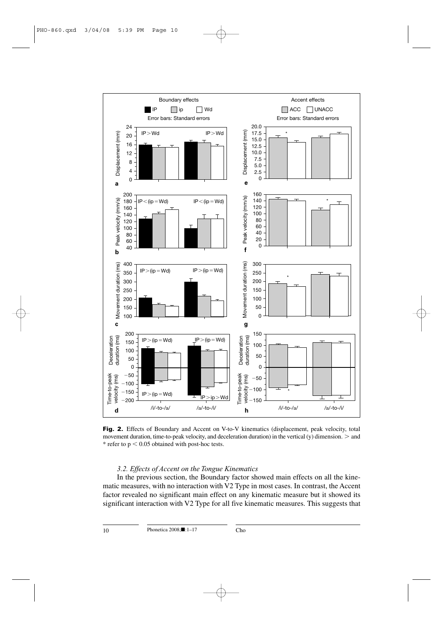

Fig. 2. Effects of Boundary and Accent on V-to-V kinematics (displacement, peak velocity, total movement duration, time-to-peak velocity, and deceleration duration) in the vertical  $(y)$  dimension.  $>$  and  $*$  refer to  $p < 0.05$  obtained with post-hoc tests.

# *3.2. Effects of Accent on the Tongue Kinematics*

In the previous section, the Boundary factor showed main effects on all the kinematic measures, with no interaction with V2 Type in most cases. In contrast, the Accent factor revealed no significant main effect on any kinematic measure but it showed its significant interaction with V2 Type for all five kinematic measures. This suggests that

10 Phonetica 2008;■:1–17 Cho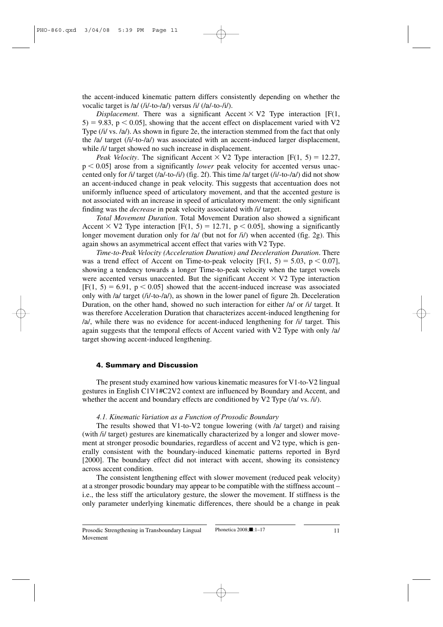the accent-induced kinematic pattern differs consistently depending on whether the vocalic target is /a/ (/i/-to-/a/) versus /i/ (/a/-to-/i/).

*Displacement*. There was a significant Accent  $\times$  V2 Type interaction [F(1,  $5$ ) = 9.83, p < 0.05], showing that the accent effect on displacement varied with V2 Type (/i/ vs. /a/). As shown in figure 2e, the interaction stemmed from the fact that only the /a/ target (/i/-to-/a/) was associated with an accent-induced larger displacement, while /i/ target showed no such increase in displacement.

*Peak Velocity*. The significant Accent  $\times$  V2 Type interaction [F(1, 5) = 12.27,  $p < 0.05$ ] arose from a significantly *lower* peak velocity for accented versus unaccented only for /i/ target (/a/-to-/i/) (fig. 2f). This time /a/ target (/i/-to-/a/) did not show an accent-induced change in peak velocity. This suggests that accentuation does not uniformly influence speed of articulatory movement, and that the accented gesture is not associated with an increase in speed of articulatory movement: the only significant finding was the *decrease* in peak velocity associated with /i/ target.

*Total Movement Duration*. Total Movement Duration also showed a significant Accent  $\times$  V2 Type interaction [F(1, 5) = 12.71, p < 0.05], showing a significantly longer movement duration only for  $\lambda a$  (but not for  $\lambda i$ ) when accented (fig. 2g). This again shows an asymmetrical accent effect that varies with V2 Type.

*Time-to-Peak Velocity (Acceleration Duration) and Deceleration Duration*. There was a trend effect of Accent on Time-to-peak velocity  $[F(1, 5) = 5.03, p < 0.07]$ , showing a tendency towards a longer Time-to-peak velocity when the target vowels were accented versus unaccented. But the significant Accent  $\times$  V2 Type interaction  $[F(1, 5) = 6.91, p < 0.05]$  showed that the accent-induced increase was associated only with /a/ target (/i/-to-/a/), as shown in the lower panel of figure 2h. Deceleration Duration, on the other hand, showed no such interaction for either /a/ or /i/ target. It was therefore Acceleration Duration that characterizes accent-induced lengthening for /a/, while there was no evidence for accent-induced lengthening for /i/ target. This again suggests that the temporal effects of Accent varied with V2 Type with only /a/ target showing accent-induced lengthening.

# **4. Summary and Discussion**

The present study examined how various kinematic measures for V1-to-V2 lingual gestures in English C1V1#C2V2 context are influenced by Boundary and Accent, and whether the accent and boundary effects are conditioned by V2 Type (/a/ vs. /i/).

# *4.1. Kinematic Variation as a Function of Prosodic Boundary*

The results showed that V1-to-V2 tongue lowering (with /a/ target) and raising (with /i/ target) gestures are kinematically characterized by a longer and slower movement at stronger prosodic boundaries, regardless of accent and V2 type, which is generally consistent with the boundary-induced kinematic patterns reported in Byrd [2000]. The boundary effect did not interact with accent, showing its consistency across accent condition.

The consistent lengthening effect with slower movement (reduced peak velocity) at a stronger prosodic boundary may appear to be compatible with the stiffness account – i.e., the less stiff the articulatory gesture, the slower the movement. If stiffness is the only parameter underlying kinematic differences, there should be a change in peak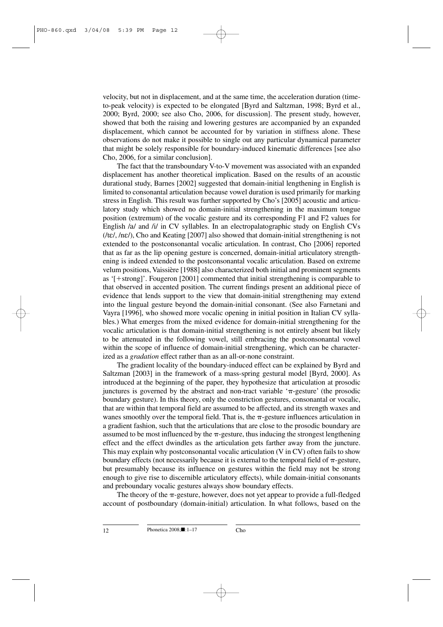velocity, but not in displacement, and at the same time, the acceleration duration (timeto-peak velocity) is expected to be elongated [Byrd and Saltzman, 1998; Byrd et al., 2000; Byrd, 2000; see also Cho, 2006, for discussion]. The present study, however, showed that both the raising and lowering gestures are accompanied by an expanded displacement, which cannot be accounted for by variation in stiffness alone. These observations do not make it possible to single out any particular dynamical parameter that might be solely responsible for boundary-induced kinematic differences [see also Cho, 2006, for a similar conclusion].

The fact that the transboundary V-to-V movement was associated with an expanded displacement has another theoretical implication. Based on the results of an acoustic durational study, Barnes [2002] suggested that domain-initial lengthening in English is limited to consonantal articulation because vowel duration is used primarily for marking stress in English. This result was further supported by Cho's [2005] acoustic and articulatory study which showed no domain-initial strengthening in the maximum tongue position (extremum) of the vocalic gesture and its corresponding F1 and F2 values for English /a/ and /i/ in CV syllables. In an electropalatographic study on English CVs  $(\text{let}, \text{ln} \epsilon)$ , Cho and Keating [2007] also showed that domain-initial strengthening is not extended to the postconsonantal vocalic articulation. In contrast, Cho [2006] reported that as far as the lip opening gesture is concerned, domain-initial articulatory strengthening is indeed extended to the postconsonantal vocalic articulation. Based on extreme velum positions, Vaissière [1988] also characterized both initial and prominent segments as ' $[+strong]'$ . Fougeron [2001] commented that initial strengthening is comparable to that observed in accented position. The current findings present an additional piece of evidence that lends support to the view that domain-initial strengthening may extend into the lingual gesture beyond the domain-initial consonant. (See also Farnetani and Vayra [1996], who showed more vocalic opening in initial position in Italian CV syllables.) What emerges from the mixed evidence for domain-initial strengthening for the vocalic articulation is that domain-initial strengthening is not entirely absent but likely to be attenuated in the following vowel, still embracing the postconsonantal vowel within the scope of influence of domain-initial strengthening, which can be characterized as a *gradation* effect rather than as an all-or-none constraint.

The gradient locality of the boundary-induced effect can be explained by Byrd and Saltzman [2003] in the framework of a mass-spring gestural model [Byrd, 2000]. As introduced at the beginning of the paper, they hypothesize that articulation at prosodic junctures is governed by the abstract and non-tract variable ' $\pi$ -gesture' (the prosodic boundary gesture). In this theory, only the constriction gestures, consonantal or vocalic, that are within that temporal field are assumed to be affected, and its strength waxes and wanes smoothly over the temporal field. That is, the  $\pi$ -gesture influences articulation in a gradient fashion, such that the articulations that are close to the prosodic boundary are assumed to be most influenced by the  $\pi$ -gesture, thus inducing the strongest lengthening effect and the effect dwindles as the articulation gets farther away from the juncture. This may explain why postconsonantal vocalic articulation (V in CV) often fails to show boundary effects (not necessarily because it is external to the temporal field of  $\pi$ -gesture, but presumably because its influence on gestures within the field may not be strong enough to give rise to discernible articulatory effects), while domain-initial consonants and preboundary vocalic gestures always show boundary effects.

The theory of the  $\pi$ -gesture, however, does not yet appear to provide a full-fledged account of postboundary (domain-initial) articulation. In what follows, based on the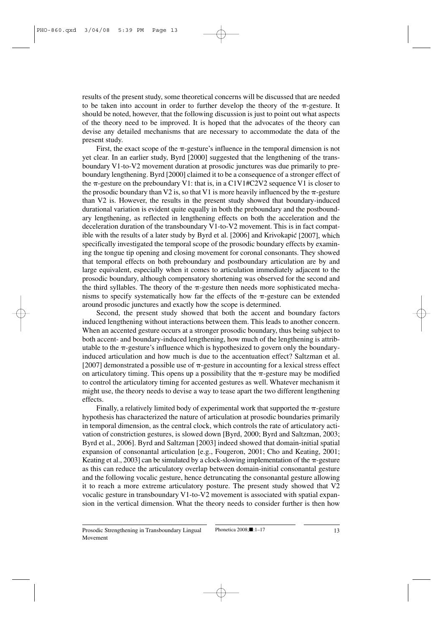results of the present study, some theoretical concerns will be discussed that are needed to be taken into account in order to further develop the theory of the  $\pi$ -gesture. It should be noted, however, that the following discussion is just to point out what aspects of the theory need to be improved. It is hoped that the advocates of the theory can devise any detailed mechanisms that are necessary to accommodate the data of the present study.

First, the exact scope of the  $\pi$ -gesture's influence in the temporal dimension is not yet clear. In an earlier study, Byrd [2000] suggested that the lengthening of the transboundary V1-to-V2 movement duration at prosodic junctures was due primarily to preboundary lengthening. Byrd [2000] claimed it to be a consequence of a stronger effect of the  $\pi$ -gesture on the preboundary V1: that is, in a C1V1#C2V2 sequence V1 is closer to the prosodic boundary than V2 is, so that V1 is more heavily influenced by the  $\pi$ -gesture than V2 is. However, the results in the present study showed that boundary-induced durational variation is evident quite equally in both the preboundary and the postboundary lengthening, as reflected in lengthening effects on both the acceleration and the deceleration duration of the transboundary V1-to-V2 movement. This is in fact compatible with the results of a later study by Byrd et al. [2006] and Krivokapic´ [2007], which specifically investigated the temporal scope of the prosodic boundary effects by examining the tongue tip opening and closing movement for coronal consonants. They showed that temporal effects on both preboundary and postboundary articulation are by and large equivalent, especially when it comes to articulation immediately adjacent to the prosodic boundary, although compensatory shortening was observed for the second and the third syllables. The theory of the  $\pi$ -gesture then needs more sophisticated mechanisms to specify systematically how far the effects of the  $\pi$ -gesture can be extended around prosodic junctures and exactly how the scope is determined.

Second, the present study showed that both the accent and boundary factors induced lengthening without interactions between them. This leads to another concern. When an accented gesture occurs at a stronger prosodic boundary, thus being subject to both accent- and boundary-induced lengthening, how much of the lengthening is attributable to the  $\pi$ -gesture's influence which is hypothesized to govern only the boundaryinduced articulation and how much is due to the accentuation effect? Saltzman et al. [2007] demonstrated a possible use of  $\pi$ -gesture in accounting for a lexical stress effect on articulatory timing. This opens up a possibility that the  $\pi$ -gesture may be modified to control the articulatory timing for accented gestures as well. Whatever mechanism it might use, the theory needs to devise a way to tease apart the two different lengthening effects.

Finally, a relatively limited body of experimental work that supported the  $\pi$ -gesture hypothesis has characterized the nature of articulation at prosodic boundaries primarily in temporal dimension, as the central clock, which controls the rate of articulatory activation of constriction gestures, is slowed down [Byrd, 2000; Byrd and Saltzman, 2003; Byrd et al., 2006]. Byrd and Saltzman [2003] indeed showed that domain-initial spatial expansion of consonantal articulation [e.g., Fougeron, 2001; Cho and Keating, 2001; Keating et al., 2003] can be simulated by a clock-slowing implementation of the  $\pi$ -gesture as this can reduce the articulatory overlap between domain-initial consonantal gesture and the following vocalic gesture, hence detruncating the consonantal gesture allowing it to reach a more extreme articulatory posture. The present study showed that V2 vocalic gesture in transboundary V1-to-V2 movement is associated with spatial expansion in the vertical dimension. What the theory needs to consider further is then how

Prosodic Strengthening in Transboundary Lingual Phonetica 2008; $\blacksquare$ :1–17 13 Movement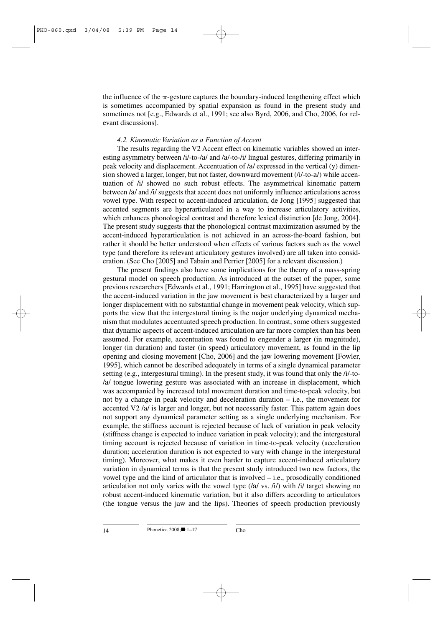the influence of the  $\pi$ -gesture captures the boundary-induced lengthening effect which is sometimes accompanied by spatial expansion as found in the present study and sometimes not [e.g., Edwards et al., 1991; see also Byrd, 2006, and Cho, 2006, for relevant discussions].

# *4.2. Kinematic Variation as a Function of Accent*

The results regarding the V2 Accent effect on kinematic variables showed an interesting asymmetry between /i/-to-/a/ and /a/-to-/i/ lingual gestures, differing primarily in peak velocity and displacement. Accentuation of /a/ expressed in the vertical (y) dimension showed a larger, longer, but not faster, downward movement (/i/-to-a/) while accentuation of /i/ showed no such robust effects. The asymmetrical kinematic pattern between /a/ and /i/ suggests that accent does not uniformly influence articulations across vowel type. With respect to accent-induced articulation, de Jong [1995] suggested that accented segments are hyperarticulated in a way to increase articulatory activities, which enhances phonological contrast and therefore lexical distinction [de Jong, 2004]. The present study suggests that the phonological contrast maximization assumed by the accent-induced hyperarticulation is not achieved in an across-the-board fashion, but rather it should be better understood when effects of various factors such as the vowel type (and therefore its relevant articulatory gestures involved) are all taken into consideration. (See Cho [2005] and Tabain and Perrier [2005] for a relevant discussion.)

The present findings also have some implications for the theory of a mass-spring gestural model on speech production. As introduced at the outset of the paper, some previous researchers [Edwards et al., 1991; Harrington et al., 1995] have suggested that the accent-induced variation in the jaw movement is best characterized by a larger and longer displacement with no substantial change in movement peak velocity, which supports the view that the intergestural timing is the major underlying dynamical mechanism that modulates accentuated speech production. In contrast, some others suggested that dynamic aspects of accent-induced articulation are far more complex than has been assumed. For example, accentuation was found to engender a larger (in magnitude), longer (in duration) and faster (in speed) articulatory movement, as found in the lip opening and closing movement [Cho, 2006] and the jaw lowering movement [Fowler, 1995], which cannot be described adequately in terms of a single dynamical parameter setting (e.g., intergestural timing). In the present study, it was found that only the /i/-to- /a/ tongue lowering gesture was associated with an increase in displacement, which was accompanied by increased total movement duration and time-to-peak velocity, but not by a change in peak velocity and deceleration duration – i.e., the movement for accented V2 /a/ is larger and longer, but not necessarily faster. This pattern again does not support any dynamical parameter setting as a single underlying mechanism. For example, the stiffness account is rejected because of lack of variation in peak velocity (stiffness change is expected to induce variation in peak velocity); and the intergestural timing account is rejected because of variation in time-to-peak velocity (acceleration duration; acceleration duration is not expected to vary with change in the intergestural timing). Moreover, what makes it even harder to capture accent-induced articulatory variation in dynamical terms is that the present study introduced two new factors, the vowel type and the kind of articulator that is involved  $-$  i.e., prosodically conditioned articulation not only varies with the vowel type  $(|a| \text{ vs. } |i|)$  with  $|i|$  target showing no robust accent-induced kinematic variation, but it also differs according to articulators (the tongue versus the jaw and the lips). Theories of speech production previously

14 Phonetica 2008;■:1-17 Cho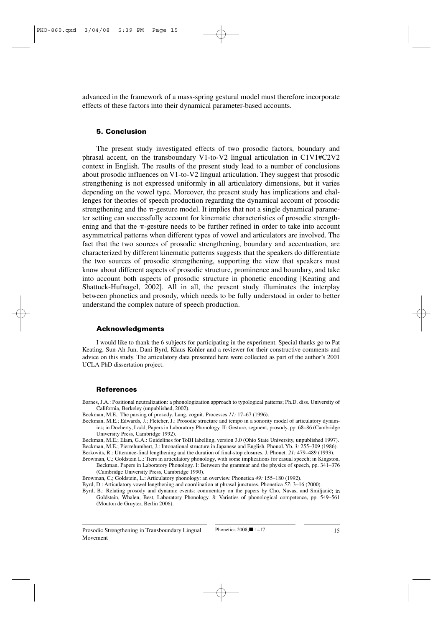# **5. Conclusion**

The present study investigated effects of two prosodic factors, boundary and phrasal accent, on the transboundary V1-to-V2 lingual articulation in C1V1#C2V2 context in English. The results of the present study lead to a number of conclusions about prosodic influences on V1-to-V2 lingual articulation. They suggest that prosodic strengthening is not expressed uniformly in all articulatory dimensions, but it varies depending on the vowel type. Moreover, the present study has implications and challenges for theories of speech production regarding the dynamical account of prosodic strengthening and the  $\pi$ -gesture model. It implies that not a single dynamical parameter setting can successfully account for kinematic characteristics of prosodic strengthening and that the  $\pi$ -gesture needs to be further refined in order to take into account asymmetrical patterns when different types of vowel and articulators are involved. The fact that the two sources of prosodic strengthening, boundary and accentuation, are characterized by different kinematic patterns suggests that the speakers do differentiate the two sources of prosodic strengthening, supporting the view that speakers must know about different aspects of prosodic structure, prominence and boundary, and take into account both aspects of prosodic structure in phonetic encoding [Keating and Shattuck-Hufnagel, 2002]. All in all, the present study illuminates the interplay between phonetics and prosody, which needs to be fully understood in order to better understand the complex nature of speech production.

### **Acknowledgments**

I would like to thank the 6 subjects for participating in the experiment. Special thanks go to Pat Keating, Sun-Ah Jun, Dani Byrd, Klaus Kohler and a reviewer for their constructive comments and advice on this study. The articulatory data presented here were collected as part of the author's 2001 UCLA PhD dissertation project.

#### **References**

Barnes, J.A.: Positional neutralization: a phonologization approach to typological patterns; Ph.D. diss. University of California, Berkeley (unpublished, 2002).

Beckman, M.E.: The parsing of prosody. Lang. cognit. Processes *11:* 17–67 (1996).

Beckman, M.E.; Edwards, J.; Fletcher, J.: Prosodic structure and tempo in a sonority model of articulatory dynamics; in Docherty, Ladd, Papers in Laboratory Phonology. II: Gesture, segment, prosody, pp. 68–86 (Cambridge University Press, Cambridge 1992).

Beckman, M.E.; Elam, G.A.: Guidelines for ToBI labelling, version 3.0 (Ohio State University, unpublished 1997). Beckman, M.E.; Pierrehumbert, J.: Intonational structure in Japanese and English. Phonol. Yb. *3:* 255–309 (1986). Berkovits, R.: Utterance-final lengthening and the duration of final-stop closures. J. Phonet. *21:* 479–489 (1993).

Browman, C.; Goldstein L.: Tiers in articulatory phonology, with some implications for casual speech; in Kingston, Beckman, Papers in Laboratory Phonology. I: Between the grammar and the physics of speech, pp. 341–376 (Cambridge University Press, Cambridge 1990).

Browman, C.; Goldstein, L.: Articulatory phonology: an overview. Phonetica *49:* 155–180 (1992).

Byrd, D.: Articulatory vowel lengthening and coordination at phrasal junctures. Phonetica *57:* 3–16 (2000).

Byrd, B.: Relating prosody and dynamic events: commentary on the papers by Cho, Navas, and Smiljanić; in Goldstein, Whalen, Best, Laboratory Phonology. 8: Varieties of phonological competence, pp. 549–561 (Mouton de Gruyter, Berlin 2006).

Prosodic Strengthening in Transboundary Lingual Phonetica 2008;<sup>11</sup>:1–17 15 Movement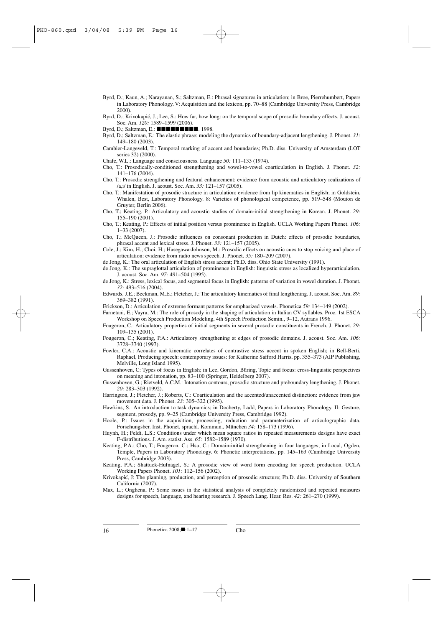- Byrd, D.; Kaun, A.; Narayanan, S.; Saltzman, E.: Phrasal signatures in articulation; in Broe, Pierrehumbert, Papers in Laboratory Phonology. V: Acquisition and the lexicon, pp. 70–88 (Cambridge University Press, Cambridge 2000).
- Byrd, D.; Krivokapić, J.; Lee, S.: How far, how long: on the temporal scope of prosodic boundary effects. J. acoust. Soc. Am. *120:* 1589–1599 (2006).

Byrd, D.; Saltzman, E.: **NNHHHHHHMH**, 1998.

- Byrd, D.; Saltzman, E.: The elastic phrase: modeling the dynamics of boundary-adjacent lengthening. J. Phonet. *31:* 149–180 (2003).
- Cambier-Langeveld, T.: Temporal marking of accent and boundaries; Ph.D. diss. University of Amsterdam (LOT series 32) (2000).
- Chafe, W.L.: Language and consciousness. Language *50:* 111–133 (1974).
- Cho, T.: Prosodically-conditioned strengthening and vowel-to-vowel coarticulation in English. J. Phonet. *32:* 141–176 (2004).

Cho, T.: Prosodic strengthening and featural enhancement: evidence from acoustic and articulatory realizations of /a,i/ in English. J. acoust. Soc. Am. *33:* 121–157 (2005).

- Cho, T.: Manifestation of prosodic structure in articulation: evidence from lip kinematics in English; in Goldstein, Whalen, Best, Laboratory Phonology. 8: Varieties of phonological competence, pp. 519–548 (Mouton de Gruyter, Berlin 2006).
- Cho, T.; Keating, P.: Articulatory and acoustic studies of domain-initial strengthening in Korean. J. Phonet. *29:* 155–190 (2001).

Cho, T.; Keating, P.: Effects of initial position versus prominence in English. UCLA Working Papers Phonet. *106:* 1–33 (2007).

Cho, T.; McQueen, J.: Prosodic influences on consonant production in Dutch: effects of prosodic boundaries, phrasal accent and lexical stress. J. Phonet. *33:* 121–157 (2005).

Cole, J.; Kim, H.; Choi, H.; Hasegawa-Johnson, M.: Prosodic effects on acoustic cues to stop voicing and place of articulation: evidence from radio news speech. J. Phonet. *35:* 180–209 (2007).

- de Jong, K.: The oral articulation of English stress accent; Ph.D. diss. Ohio State University (1991).
- de Jong, K.: The supraglottal articulation of prominence in English: linguistic stress as localized hyperarticulation. J. acoust. Soc. Am. *97:* 491–504 (1995).

de Jong, K.: Stress, lexical focus, and segmental focus in English: patterns of variation in vowel duration. J. Phonet. *32:* 493–516 (2004).

Edwards, J.E.; Beckman, M.E.; Fletcher, J.: The articulatory kinematics of final lengthening. J. acoust. Soc. Am. *89:* 369–382 (1991).

Erickson, D.: Articulation of extreme formant patterns for emphasized vowels. Phonetica *59:* 134–149 (2002).

Farnetani, E.; Vayra, M.: The role of prosody in the shaping of articulation in Italian CV syllables. Proc. 1st ESCA Workshop on Speech Production Modeling, 4th Speech Production Semin., 9–12, Autrans 1996.

Fougeron, C.: Articulatory properties of initial segments in several prosodic constituents in French. J. Phonet. *29:* 109–135 (2001).

Fougeron, C.; Keating, P.A.: Articulatory strengthening at edges of prosodic domains. J. acoust. Soc. Am. *106:* 3728–3740 (1997).

Fowler, C.A.: Acoustic and kinematic correlates of contrastive stress accent in spoken English; in Bell-Berti, Raphael, Producing speech: contemporary issues: for Katherine Safford Harris, pp. 355–373 (AIP Publishing, Melville, Long Island 1995).

Gussenhoven, C: Types of focus in English; in Lee, Gordon, Büring, Topic and focus: cross-linguistic perspectives on meaning and intonation, pp. 83–100 (Springer, Heidelberg 2007).

Gussenhoven, G.; Rietveld, A.C.M.: Intonation contours, prosodic structure and preboundary lengthening. J. Phonet. *20:* 283–303 (1992).

Harrington, J.; Fletcher, J.; Roberts, C.: Coarticulation and the accented/unaccented distinction: evidence from jaw movement data. J. Phonet. *23:* 305–322 (1995).

Hawkins, S.: An introduction to task dynamics; in Docherty, Ladd, Papers in Laboratory Phonology. II: Gesture, segment, prosody, pp. 9–25 (Cambridge University Press, Cambridge 1992).

Hoole, P.: Issues in the acquisition, processing, reduction and parameterization of articulographic data. Forschungsber. Inst. Phonet. sprachl. Kommun., München *34:* 158–173 (1996).

Huynh, H.; Feldt, L.S.: Conditions under which mean square ratios in repeated measurements designs have exact F-distributions. J. Am. statist. Ass. *65:* 1582–1589 (1970).

Keating, P.A.; Cho, T.; Fougeron, C.; Hsu, C.: Domain-initial strengthening in four languages; in Local, Ogden, Temple, Papers in Laboratory Phonology. 6: Phonetic interpretations, pp. 145–163 (Cambridge University Press, Cambridge 2003).

Keating, P.A.; Shattuck-Hufnagel, S.: A prosodic view of word form encoding for speech production. UCLA Working Papers Phonet. *101:* 112–156 (2002).

Krivokapić, J: The planning, production, and perception of prosodic structure; Ph.D. diss. University of Southern California (2007).

Max, L.; Onghena, P.: Some issues in the statistical analysis of completely randomized and repeated measures designs for speech, language, and hearing research. J. Speech Lang. Hear. Res. *42:* 261–270 (1999).

 $16$  Phonetica  $2008; \blacksquare:1-17$  Cho